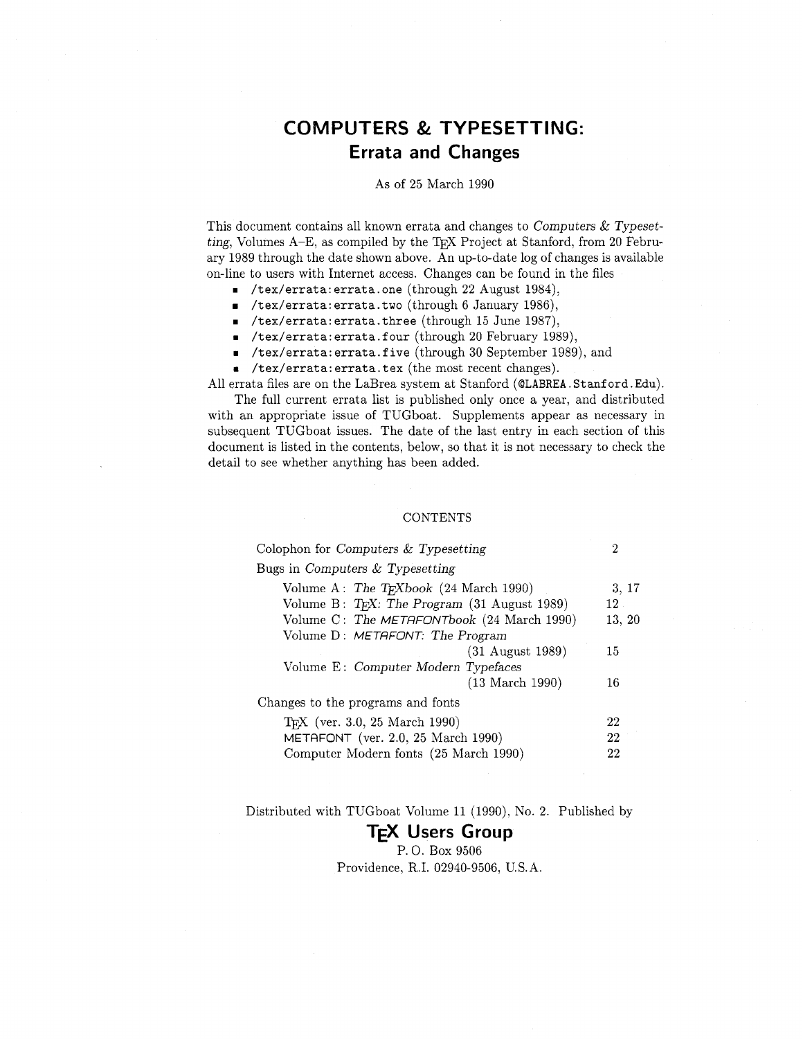# **COMPUTERS** & **TYPESETTING: Errata and Changes**

### As of 25 March 1990

This document contains all known errata and changes to Computers  $&$  Typesetting, Volumes  $A-E$ , as compiled by the T<sub>EX</sub> Project at Stanford, from 20 February 1989 through the date shown above. An up-to-date log of changes is available on-line to users with Internet access. Changes can be found in the files

- **rn /tex/errata: errata. one** (through 22 August 1984),
- **/tex/errata:errata.two** (through 6 January 1986),
- **rn /tex/errata: errata. three** (through 15 June 1987),
- **r** /tex/errata: errata. **four** (through 20 February 1989),
- **rn /tex/errata: errata.f ive** (through 30 September 1989), and
- **a /tex/errata: errata. tex** (the most recent changes).

All errata files are on the LaBrea system at Stanford (@LABREA.Stanford.Edu).

The full current errata list is published only once a year, and distributed with an appropriate issue of TUGboat. Supplements appear as necessary in subsequent TUGboat issues. The date of the last entry in each section of this document is listed in the contents, below, so that it is not necessary to check the detail to see whether anything has been added.

## **CONTENTS**

| Colophon for Computers $&$ Typesetting             | 2      |
|----------------------------------------------------|--------|
| Bugs in Computers $&$ Typesetting                  |        |
| Volume A: The T <sub>F</sub> Xbook (24 March 1990) | 3, 17  |
| Volume B: $T_F X$ : The Program (31 August 1989)   | $12-$  |
| Volume C: The METAFONTbook (24 March 1990)         | 13, 20 |
| Volume D: METAFONT: The Program                    |        |
| $(31$ August 1989)                                 | 15     |
| Volume E: Computer Modern Typefaces                |        |
| $(13 \text{ March } 1990)$                         | 16     |
| Changes to the programs and fonts                  |        |
| T <sub>F</sub> X (ver. 3.0, 25 March 1990)         | 22     |
| METAFONT (ver. 2.0, 25 March 1990)                 | 22     |
| Computer Modern fonts (25 March 1990)              | 22     |

Distributed with TUGboat Volume 11 (1990), No. 2. Published by

# **TEX Users Group**

P. 0. Box 9506 Providence, R.I. 02940-9506, U.S.A.